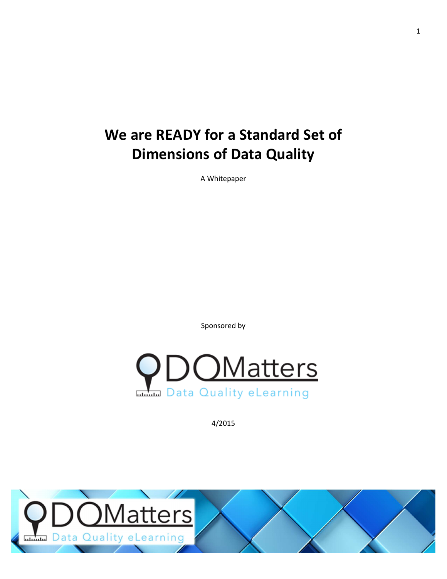# **We are READY for a Standard Set of Dimensions of Data Quality**

A Whitepaper

Sponsored by



4/2015

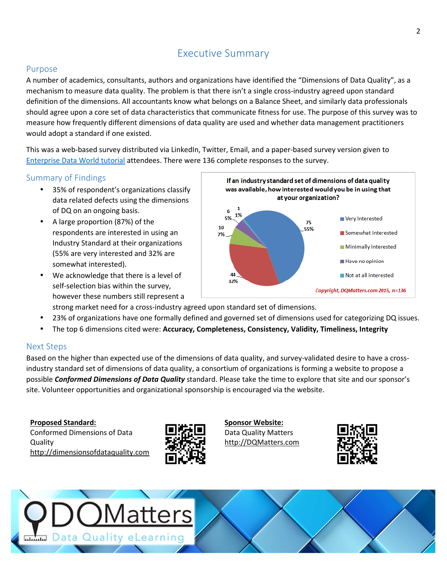# Executive Summary

### Purpose

A number of academics, consultants, authors and organizations have identified the "Dimensions of Data Quality", as a mechanism to measure data quality. The problem is that there isn't a single cross-industry agreed upon standard definition of the dimensions. All accountants know what belongs on a Balance Sheet, and similarly data professionals should agree upon a core set of data characteristics that communicate fitness for use. The purpose of this survey was to measure how frequently different dimensions of data quality are used and whether data management practitioners would adopt a standard if one existed.

This was a web-based survey distributed via LinkedIn, Twitter, Email, and a paper-based survey version given to [Enterprise](http://dqm.mx/edwc001) Data World tutorial attendees. There were 136 complete responses to the survey.

### Summary of Findings

- 35% of respondent's organizations classify data related defects using the dimensions of DQ on an ongoing basis.
- A large proportion (87%) of the respondents are interested in using an Industry Standard at their organizations (55% are very interested and 32% are somewhat interested).
- We acknowledge that there is a level of self-selection bias within the survey, however these numbers still represent a



strong market need for a cross-industry agreed upon standard set of dimensions.

- 23% of organizations have one formally defined and governed set of dimensions used for categorizing DQ issues.
- The top 6 dimensions cited were: **Accuracy, Completeness, Consistency, Validity, Timeliness, Integrity**

### Next Steps

Based on the higher than expected use of the dimensions of data quality, and survey-validated desire to have a crossindustry standard set of dimensions of data quality, a consortium of organizations is forming a website to propose a possible *Conformed Dimensions of Data Quality* standard. Please take the time to explore that site and our sponsor's site. Volunteer opportunities and organizational sponsorship is encouraged via the website.

#### **Proposed Standard:**

Conformed Dimensions of Data **Quality** [http://dimensionsofdataquality.com](http://dqm.mx/wdod001)



**Sponsor Website:** Data Quality Matters [http://DQMatters.com](http://dqm.mx/whp001)



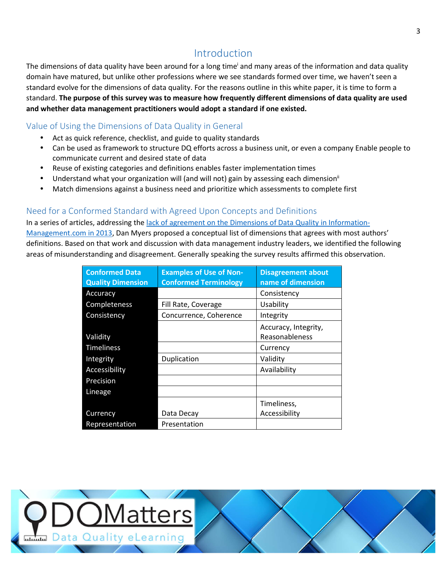## Introduction

The dimensions of data quality have been around for a long time<sup>i</sup> and many areas of the information and data quality domain have matured, but unlike other professions where we see standards formed over time, we haven't seen a standard evolve for the dimensions of data quality. For the reasons outline in this white paper, it is time to form a standard. The purpose of this survey was to measure how frequently different dimensions of data quality are used **and whether data management practitioners would adopt a standard if one existed.**

### Value of Using the Dimensions of Data Quality in General

- Act as quick reference, checklist, and guide to quality standards
- Can be used as framework to structure DQ efforts across a business unit, or even a company Enable people to communicate current and desired state of data
- Reuse of existing categories and definitions enables faster implementation times
- Understand what your organization will (and will not) gain by assessing each dimension<sup>ii</sup>
- Match dimensions against a business need and prioritize which assessments to complete first

### Need for a Conformed Standard with Agreed Upon Concepts and Definitions

In a series of articles, addressing the lack of agreement on the Dimensions of Data Quality in Information-[Management.com](http://www.information-management.com/news/dimensions-of-data-quality-under-the-microscope-10024529-1.html) in 2013, Dan Myers proposed a conceptual list of dimensions that agrees with most authors' definitions. Based on that work and discussion with data management industry leaders, we identified the following areas of misunderstanding and disagreement. Generally speaking the survey results affirmed this observation.

| <b>Conformed Data</b><br><b>Quality Dimension</b> | <b>Examples of Use of Non-</b><br><b>Conformed Terminology</b> | <b>Disagreement about</b><br>name of dimension |
|---------------------------------------------------|----------------------------------------------------------------|------------------------------------------------|
| Accuracy                                          |                                                                | Consistency                                    |
| Completeness                                      | Fill Rate, Coverage                                            | Usability                                      |
| Consistency                                       | Concurrence, Coherence                                         | Integrity                                      |
| Validity                                          |                                                                | Accuracy, Integrity,<br>Reasonableness         |
| <b>Timeliness</b>                                 |                                                                | Currency                                       |
| Integrity                                         | Duplication                                                    | Validity                                       |
| Accessibility                                     |                                                                | Availability                                   |
| Precision                                         |                                                                |                                                |
| Lineage                                           |                                                                |                                                |
|                                                   |                                                                | Timeliness,                                    |
| Currency                                          | Data Decay                                                     | Accessibility                                  |
| Representation                                    | Presentation                                                   |                                                |

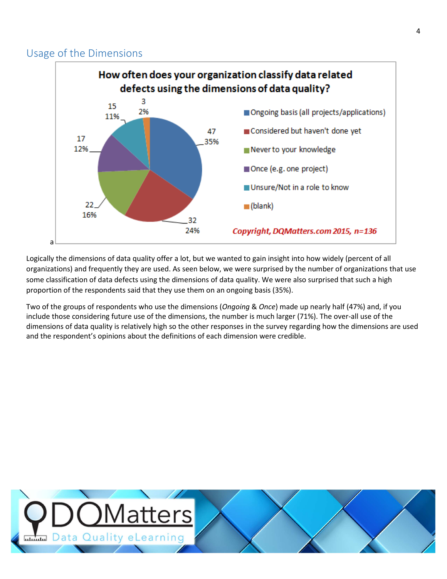### Usage of the Dimensions



Logically the dimensions of data quality offer a lot, but we wanted to gain insight into how widely (percent of all organizations) and frequently they are used. As seen below, we were surprised by the number of organizations that use some classification of data defects using the dimensions of data quality. We were also surprised that such a high proportion of the respondents said that they use them on an ongoing basis (35%).

Two of the groups of respondents who use the dimensions (*Ongoing* & *Once*) made up nearly half (47%) and, if you include those considering future use of the dimensions, the number is much larger (71%). The over-all use of the dimensions of data quality is relatively high so the other responses in the survey regarding how the dimensions are used and the respondent's opinions about the definitions of each dimension were credible.

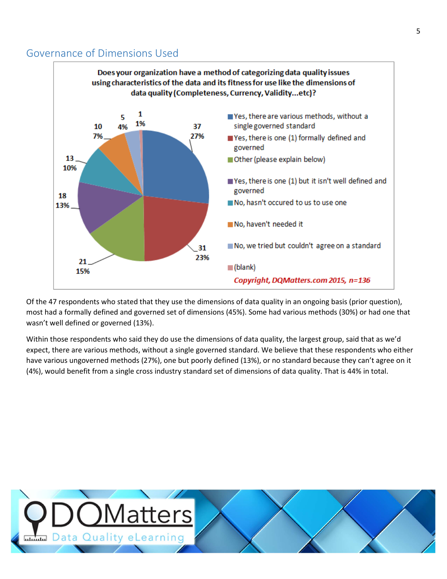### Governance of Dimensions Used



Of the 47 respondents who stated that they use the dimensions of data quality in an ongoing basis (prior question), most had a formally defined and governed set of dimensions (45%). Some had various methods (30%) or had one that wasn't well defined or governed (13%).

Within those respondents who said they do use the dimensions of data quality, the largest group, said that as we'd expect, there are various methods, without a single governed standard. We believe that these respondents who either have various ungoverned methods (27%), one but poorly defined (13%), or no standard because they can't agree on it (4%), would benefit from a single cross industry standard set of dimensions of data quality. That is 44% in total.

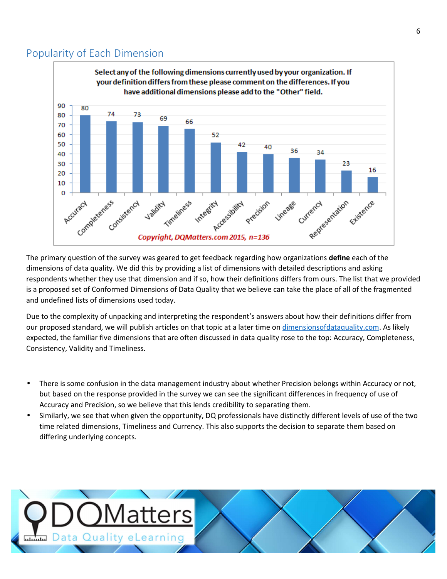### Popularity of Each Dimension



The primary question of the survey was geared to get feedback regarding how organizations **define** each of the dimensions of data quality. We did this by providing a list of dimensions with detailed descriptions and asking respondents whether they use that dimension and if so, how their definitions differs from ours. The list that we provided is a proposed set of Conformed Dimensions of Data Quality that we believe can take the place of all of the fragmented and undefined lists of dimensions used today.

Due to the complexity of unpacking and interpreting the respondent's answers about how their definitions differ from our proposed standard, we will publish articles on that topic at a later time on [dimensionsofdataquality.com.](http://dqm.mx/wdod001) As likely expected, the familiar five dimensions that are often discussed in data quality rose to the top: Accuracy, Completeness, Consistency, Validity and Timeliness.

- There is some confusion in the data management industry about whether Precision belongs within Accuracy or not, but based on the response provided in the survey we can see the significant differences in frequency of use of Accuracy and Precision, so we believe that this lends credibility to separating them.
- Similarly, we see that when given the opportunity, DQ professionals have distinctly different levels of use of the two time related dimensions, Timeliness and Currency. This also supports the decision to separate them based on differing underlying concepts.

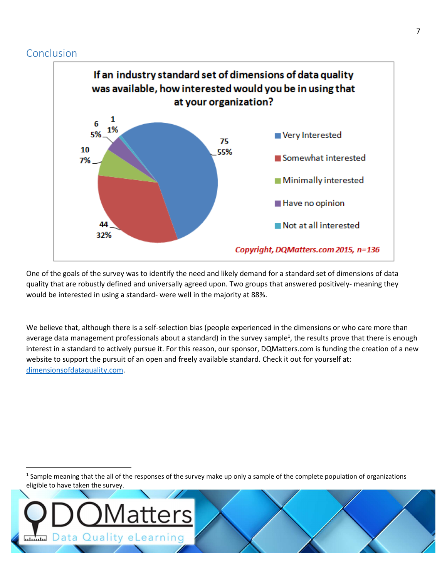### Conclusion



One of the goals of the survey was to identify the need and likely demand for a standard set of dimensions of data quality that are robustly defined and universally agreed upon. Two groups that answered positively- meaning they would be interested in using a standard- were well in the majority at 88%.

We believe that, although there is a self-selection bias (people experienced in the dimensions or who care more than average data management professionals about a standard) in the survey sample<sup>1</sup>, the results prove that there is enough interest in a standard to actively pursue it. For this reason, our sponsor, DQMatters.com is funding the creation of a new website to support the pursuit of an open and freely available standard. Check it out for yourself at: [dimensionsofdataquality.com.](http://dqm.mx/wdod001)

<sup>1</sup> Sample meaning that the all of the responses of the survey make up only a sample of the complete population of organizations eligible to have taken the survey.

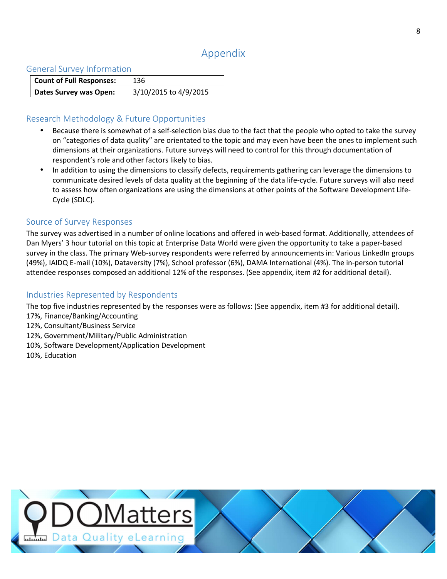# Appendix

#### General Survey Information

| <b>Count of Full Responses:</b> | 136                   |
|---------------------------------|-----------------------|
| Dates Survey was Open:          | 3/10/2015 to 4/9/2015 |

### Research Methodology & Future Opportunities

- Because there is somewhat of a self-selection bias due to the fact that the people who opted to take the survey on "categories of data quality" are orientated to the topic and may even have been the ones to implement such dimensions at their organizations. Future surveys will need to control for this through documentation of respondent's role and other factors likely to bias.
- In addition to using the dimensions to classify defects, requirements gathering can leverage the dimensions to communicate desired levels of data quality at the beginning of the data life-cycle. Future surveys will also need to assess how often organizations are using the dimensions at other points of the Software Development Life-Cycle (SDLC).

### Source of Survey Responses

The survey was advertised in a number of online locations and offered in web-based format. Additionally, attendees of Dan Myers' 3 hour tutorial on this topic at Enterprise Data World were given the opportunity to take a paper-based survey in the class. The primary Web-survey respondents were referred by announcements in: Various LinkedIn groups (49%), IAIDQ E-mail (10%), Dataversity (7%), School professor (6%), DAMA International (4%). The in-person tutorial attendee responses composed an additional 12% of the responses. (See appendix, item #2 for additional detail).

### Industries Represented by Respondents

The top five industries represented by the responses were as follows: (See appendix, item #3 for additional detail).

- 17%, Finance/Banking/Accounting
- 12%, Consultant/Business Service
- 12%, Government/Military/Public Administration
- 10%, Software Development/Application Development
- 10%, Education